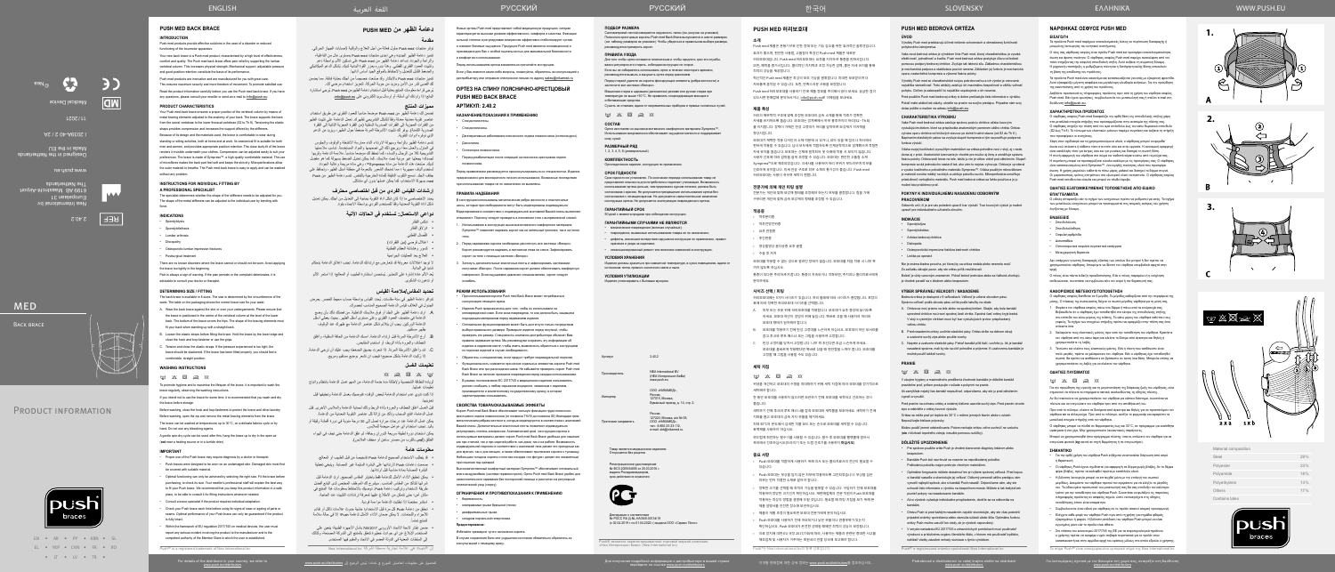EN • AR • PY • KRN • SL EL • YKP • CHN • FR • RO • LT • LV • TR •

Για λεπτομέρειες σχετικά με τον διανομέα στη χώρα σας, ανατρέξτε στη διεύθυνση

Nea International bv Europalaan 31 ees BA 6616 I De Netherlands

ف

2.40.2

**REF** 

www.push.eu

Designed in the Netherlands

**MED** 

BACK BRACE

Made in the EU

I 2039A-40 2 / 2A

 $LZOZ/IL$ 

Medical Device

 $\sqrt{2}$ 

تتميز منتجات Push med بالابتكار وقد صُنعت خصيصاً من أجلك بعناية فائقة. مما يضمن لك أقصى قدر من الأمن ومزيد من حرية الحركة. لتعزيز استخدام مرضى لك. ُيرجى قراءة معلومات المنتج بعناية قبل استخدام دعامة الظهرمن med Push ُ . يرجي استشارة

تضمن لك دعامة الظهر من Push med موضعاً مناسباً للعمود الفقري عن طريق استخدام عناصر تقوية معدنية معدلة وفقاً للشكل التشريحي لظهرك. تعمل الدعامة على تثبيت الظهر من الفقرات العجزية إلى الفقرات الصدرية السفلية )من الفقرة العجزية الثانية إلى الفقرة الصدرية الثامنة). يوفر لك تثبيت الأشرطة المرنة ضغطاً حول الظهر، ويزيد من الدعم

©Nea

Material composition

 $Cont$ 

| Steel          | 29% |
|----------------|-----|
| Polyester      | 23% |
| Polyamide      | 18% |
| Polyethylene   | 13% |
| Others         | 17% |
| Contains latex |     |



**1.**

**2.**

**3.**









**دعامة الظهر من MED PUSH**

**مقدمة**

توفر منتجات med Push حلول فعالة من أجل العالج والوقاية إلصابات الجهاز الحركي. تتميز دعامة الظهر الجديدة وهي إحدى منتجات med Push ِ بمستوى عال من الفاعلية، والراحة والجودة. تساعد دعامة الظهر من Push med على تسكين الألم بواسطة دعم ُ وتثبيت العمود الفقري القطني. وهذا بدوره يعزز القوة البدنية لديك. يشكل الدعم الميكانيكي

والضغط القابل للتعديل واالحتفاظ بالموقع الجيد أساس أدائها.

شكل أداة التقوية المعدنية وفقاً للمستخدم الفردي بواسطة الانحناء بقوة. **دواعي االستعمال: تستخدم في الحاالت اآلتية**

يُعد الألم عادة إشارة على التحذير. يُستحسن استشارة الطبيب أو المعالج؛ إذا استمر الألم

**مميزات المنتج**

الذي توفره أدوات التقوية.

قبل الغسل أغلق الخطاف والعروة بأداة الربط وذلك لحماية الدعامة والملابس الأخرى. قبل غسل الدعامة، افتح السحاب وتأكد من إزالة كل عناصر التقوية المعدنية من الدعامة. يمكن غسل الدعامة عند درجات حرارة تصل إلى 30 درجة مئوية في دورة أقمشة رقيقة أو

تتسم دعامة الظهر بالراحة وسهولة االرتداء أثناء ممارسة األنشطة والوقوف والجلوس في المنزل والعمل معاً؛ ويرجع ذلك إلى تصميمها والمواد المستخدمة. تناسب ملاءمتها التشريحية كلا من الرجال والنساء، كما تحفظ لك موضعاً مناسباً. ملاءمة الدعامة وقربها لجسدك؛ يجعلها غير مرئية تحت مالبسك. كما يمكن تعديل الضغط بسهولة كما هو مفضل ً لديك. صنعت هذه الدعامة من مادة Sympress™، وهي مادة مريحة وعالية الجودة. ُستخدم ألياف مجهرية ؛ مما تمنحك الشعور بالنعومة في منطقة أسفل الظهر، وتحافظ على ت جفاف الجلد. تسمح الثقوب الدقيقة للمادة الخارجية بالتنفس. تتسم دعامة الظهر من Push

• قد يتطلب الاستخدام الصحيح لدعامة Push تشخيصاً من قبل الطبيب أو المعالج. صممت دعامات Push الرتدائها على البشرة السليمة غير المصابة. وينبغي تغطية

med بسهولة االستخدام، كما يمكن غسلها بدون أي مشاكل.

**إرشادات القياس الفردي من قبل اختصاصي محترف** يحدد االختصاصي ما إذا كان شكل أداة التقوية بحاجة إلى التعديل من أجلك. يمكن تعديل

> تنكس الفقار انزالق الفقار ُصال القطني الف اعتالل قرصي )بين الفقرات( كسور وهشاشة العظام القطنية العالج بعد العمليات الجراحية

температуре не выше +30°С. Не применять хлорсодержащие моющие и вающие средства.

شديد في البداية.

أو تدهورت الشكوى.

**تحديد المقاس/مالءمة القياس**

пен из высококачественного комфортного материала Sympress™. Использование микроволокон обеспечивает ощущение мягкости и поддерживает кожу сухой.

ُ تتوافر دعامة الظهر في ستة مقاسات. يحدد القياس بواسطة حساب محيط الخصر. يعرض

الجدول في الغالف قياس الدعامة الصحيح المناسب لخصرك.

. ِ ارتد دعامة الظهر على الجلد أو فوق مالبسك الداخلية. من فضلك تأكد بأن وضع الدعامة في منتصف العمود الفقري وعلى مستوى أسفل الظهر. بحيث يغطي أسفل الدعامة الوركين. يجب أن يتالئم شكل عناصر الدعامة مع ظهرك عند الوقوف

. ارخِ الاشرطة المرنـة قبل ارتداء الدعامة. امسك الدعامة من الحافة السفلية، وأغلق

Срок годности не установлен. По окончании периода использования товар не<br>представляет опасности для потребителя и подлежит утилизации. Возможность<br>использования ортеза дольше, чем предписано курсом лечения, должна быть согласована с врачом. Не допускается прекращение использования ортеза без согласования с лечащим врачом. Не допускается самостоятельное изменение конструкции ортеза. Не допускается эксплуатация поврежденного ортеза.

بظهر مستقيم.

хранения и ухода за изделием; несанкционированный ремонт или внесение изменений в конструк

الخطاف والعروة بأداة الربط، أو استخدم المقابض.

. شد وأغلق األشرطة المرنة. إذا شعرت بضيق الضغط؛ يجب عليك أن ترخي الدعامة. ُ إذا ركبت الدعامة بشكل صحيح؛ فيجب ان تشعر بوضع مستقيم ومريح.

**تعليمات الغسل**

لزيادة النظافة الشخصية وإلطالة مدة خدمة الدعامة، من المهم غسل الدعامة بانتظام واتباع

تعليمات غسلها.

إذا كنت تنوي عدم استخدام الدعامة لبعض الوقت، فنوصيك بغسل الدعامة وتجفيفها قبل

تخزينها.

 $\otimes$   $\boxtimes$   $\boxtimes$   $\otimes$   $\otimes$   $\otimes$ 

- Дегенеративные заболевания поясничного отдела позвоночника (остеохондроз).
- Дископатии.
- Остеопороз позвоночника. Период реабилитации после операций на пояснично-крестцовом отделе

باليد. تجنب استخدام أي عوامل مبيضة للمالبس.

يمكن استخدام دورة لطيفة سريعة الدوران وجافة، ثم علق الدعامة حتى تجف في الهواء

الطلق )**ليس** بالقرب من مصدر ساخن أو مجفف المالبس(.

**معلومات هامة**

المنتج تماماً.

конструкции использованы металлические ребра жесткости и пластинчатые шины, которые при необходимости могут быть моделированы индивидуально. специалист. Подгонку следует проводить в положении стоя с выпрямленной спиной.

البشرة المصابة بمادة مناسبة قبل ارتدائها.

 يمكن تحقيق األداء األمثل للدعامة فقط باختيار المقاس الصحيح. ارتد الدعامة قبل شرائها لتتأكد من المقاس المناسب. سيشرح لك الموظف المختص لدى البائع أفضل طريقة الستخدام وتركيب دعامة Push. نوصيك باالحتفاظ بمعلومات هذا المنتج في مكان آمن؛ حتى تتمكن من االطالع عليها لمعرفة إرشادات التثبيت عند الحاجة.

 ً استشر مختصا إذا تطلبت الدعامة مواءمة فردية.

 تحقق من دعامة Push كل مرة قبل االستخدام؛ خشية حدوث عالمات تآكل أو تقادم لألجزاء واللحامات. ال يمكن ضمان األداء األمثل لدعامة Push؛ إال في حالة سالمة

 ضمن إطار الئحة االتحاد األوروبي 745/2017 بشأن األجهزة الطبية؛ يتعين على المستخدم اإلبالغ عن أي حوادث خطيرة تتعلق بالمنتج إلى الشركة المصنعة، وكذلك إلى السلطات المعنية في الدولة العضو في االتحاد والمقيم فيها المستخدم. إن RPush هي عالمة تجارية مسجلة لشركة bv International Nea

البائع؛ إذا راودتك أي أسئلة، أو إرسال بريد إلكتروني على info@push.eu.

#### **ПОДБОР РАЗМЕРА**

Сантиметровой лентой измеряется окружность талии (см. рисунок на упаковке). Пояснично-крестцовые корсеты Push med Back Brace выпускаются в шести размерах (см. таблицу размеров на упаковке). Чтобы убедиться в правильном выборе размера, рекомендуется примерить корсет.

### **ПРАВИЛА УХОДА**

Для того чтобы ортез оставался гигиеничным и чтобы продлить срок его службы, важно регулярно его стирать, соблюдая инструкции по стирке.

Если вы не собираетесь использовать ортез в течение некоторого времени, рекомендуется вымыть и высушить ортез перед хранением. Перед стиркой удалите из корсета фиксирующие элементы (ребра жесткости) и

застегните все застежки «Велкро». Машинная стирка в щадящем (деликатном) режиме или ручная стирка при

Сушить не отжимая, вдали от нагревательных приборов и прямых солнечных лучей.

 $\label{eq:2.10} \boxed{\underline{\omega}} \quad \underline{\times} \quad \boxed{\boxtimes} \quad \underline{\gg} \quad \boxed{\otimes}$ 

### **СОСТАВ**

**РАЗМЕРНЫЙ РЯД** 1, 2, 3, 4, 5, 6 (универсальный)

**КОМПЛЕКТНОСТЬ**

Ортопедическое изделие, инструкция по применению.

## **СРОК ГОДНОСТИ**

### **ГАРАНТИЙНЫЙ СРОК**

90 дней с момента продажи при соблюдении инструкции. **ГАРАНТИЙНЫМИ СЛУЧАЯМИ НЕ ЯВЛЯЮТСЯ**

• механические повреждения (включая случайные);

• повреждения, вызванные использованием товара не по назначению; • дефекты, возникшие вследствие нарушения инструкции по применению, правил

### **УСЛОВИЯ ХРАНЕНИЯ**

Изделия должны храниться при комнатной температуре, в сухих помещениях, вдали от источников тепла, прямого солнечного света и пыли.

#### **УСЛОВИЯ УТИЛИЗАЦИИ**

Изделие утилизировать с бытовым мусором.

 $2.40.2$ 

Новые ортезы Push med представляют собой медицинскую продукцию, которая характеризуется высоким уровнем эффективности, комфорта и качества. Фиксация сильной степени и регулируемая компрессия эффективно стабилизируют сустав и снижают болевые ощущения. Продукция Push med является инновационной и

Pred použitím Push med bedrovej ortézy si dobre preštudujte tieto informácie o výrobk Pokiaľ máte akékoľvek otázky, obráťte sa prosím na svojho predajcu. Prípadne nám svoj dotaz pošlite e-mailom na adresu info@push.eu.

произведена для Вас с особой тщательностью для максимальной безопасности и комфортного использования. Перед использованием ортеза внимательно прочитайте инструкцию.

Если у Вас имеются какие-либо вопросы, пожалуйста, обратитесь за консультацией к дистрибьютору или отправьте электронное письмо по адресу sales@nikamed.ru

### **ОРТЕЗ НА СПИНУ ПОЯСНИЧНО‑КРЕСТЦОВЫЙ PUSH MED BACK BRACE**

## **АРТИКУЛ: 2.40.2**

**НАЗНАЧЕНИЕ/ПОКАЗАНИЯ К ПРИМЕНЕНИЮ**

• Спондилолистезы. • Спондилолизисы.

- Spondylolýza • Spondylolistéza
- Artróza bedrovej chrbtice
- Diskopatia
- Osteoporotická impresívna fraktúra bedroveh chrbtice
- Liečba po operácii

позвоночника.

Перед применением рекомендуется проконсультироваться со специалистом. Изделие предназначено для многократного личного использования. Возможные последствия при использовании товара не по назначению не выявлены.

### **ПРАВИЛА НАДЕВАНИЯ**

- 1. Использование в конструкции высококачественного комфортного материала
- 
- 

- Sympress™ позволяет надевать корсет как на нательный трикотаж, так и на голое тело.
- 2. Перед надеванием корсета необходимо расстегнуть все застежки «Велкро». Корсет рекомендуется надевать в положении лежа на спине. Зафиксировать корсет на теле с помощью застежек «Велкро».
- Затянуть дополнительные эластичные ленты и зафиксировать застежкам липучками «Велкро». После надевания корсет должен обеспечивать комфортную компрессию. Если ощущаемое давление слишком велико, корсет следует ослабить.

• Bandáže Push boli navrhnuté na nosenie na nepoškodenej pokožke. Poškodenú pokožku najprv prekryte vhodným materiálor

## **РЕЖИМ ИСПОЛЬЗОВАНИЯ**

- 
- Оптимальное функционирование может быть достигнуто только посредством
- Обратитесь к специалистам, если продукт требует индивидуальной подгонки. • Функциональность снижается при износе отдельных элементов корсета Push med
- 
- 

- При использовании корсета Push med Back Brace может потребоваться консультация лечащего врача.
- Изделия Push предназначены для того, чтобы их использовали на неповрежденной коже. Если кожа повреждена, то она должна быть защищена подходящим материалом перед надеванием изделия.
- выбора правильного размера. Примерьте изделие перед покупкой, чтобы проверить его размер. Специалисты компании-дистрибьютора объяснят Вам правила надевания ортеза. Мы рекомендуем сохранить эту информацию об изделии в надежном месте, чтобы иметь возможность обратиться к инструкциям по подгонке изделий в случае необходимости.
- 
- Back Brace или при расхождении швов. Не забывайте проверять корсет Push med Back Brace на наличие признаков повреждения перед каждым использованием.
- В рамках постановления ЕС 2017/745 о медицинских изделиях пользователь должен сообщать о любом серьезном инциденте, связанном с изделием, производителю и компетентному государственному органу, в котором зарегистрирован пользователь.

### **СВОЙСТВА ТОВАРА/ОКАЗЫВАЕМЫЕ ЭФФЕКТЫ**

Корсет Push med Back Brace обеспечивает сильную фиксацию грудо-поясничнокрестцового отдела позвоночника (от позвонка ThVIII до позвонка SII) благодаря трем .<br>металлическим ребрам жесткости, которые моделируются в соответствии с анатомией Вашей спины. Дополнительные эластичные ленты позволяют индивидуально регулировать степень компрессии. Анатомический крой, конструкция корсета и используемые материалы делают корсет Push med Back Brace удобным для ношения как при стоячей, так и при сидячей работе, как дома, так и на работе. Возможность индивидуальной подгонки в соответствии с анатомией тела делает его пригодным как для мужчин, так и для женщин, а также обеспечивает прилегание корсета к туловищу. Небольшая толщина корсета и плотная посадка «по фигуре» делает его незаметным при ношении под одеждой.

Ο νάρθηκας οσφύος διατίθεται σε 6 μεγέθη. Το μέγεθος καθορίζεται από την περιφέρεια της μέσης. Ο πίνακας της συσκευασίας δείχνει το σωστό μέγεθος νάρθηκα για τη μέση σας. 1. Φορέστε τον νάρθηκα οσφύος πάνω στο δέρμα ή πάνω από τα εσώρουχά σας. Βεβαιωθείτε ότι ο νάρθηκας έχει τοποθετηθεί στο κέντρο της σπονδυλικής στήλης, στο επίπεδο του κάτω μέρους της πλάτης. Το κάτω μέρος του νάρθηκα καλύπτει του γοφούς. Το σχήμα των στοιχείων στήριξης πρέπει να εφαρμόζει στην πλάτη σας ότα

**ΟΔΗΓΙΕΣ ΠΛΥΣΙΜΑΤΟΣ**  $\label{eq:3.1} \boxtimes \; \boxtimes \; \boxtimes \; \boxtimes \; \boxtimes \; \boxtimes$ 

Высококачественный комфортный материал Sympress™ обеспечивает оптимальный влаго-воздухообмен (система термоконтроля). Ортез Push med Back Brace удобен для самостоятельного надевания без посторонней помощи и рассчитан на регулярный гигиенический уход (стирку).

## **ОГРАНИЧЕНИЯ И ПРОТИВОПОКАЗАНИЯ К ПРИМЕНЕНИЮ**

- беременность;
- 
- диафрагмальные грыжи;
- 
- 
- невправимые грыжи брюшной стенки;
- 
- синдром портальной гипертензии.
- **Предостережение:**
- 
- 
- 

- Избегайте чрезмерно тугого наложения корсета.
- В случае сохранения боли или ухудшения состояния обязательно обратитесь за
- 
- консультацией к лечащему врачу.
- 
- 

# **PUSH MED 허리보호대**

**소개** Push med 제품은 운동기구로 인한 장애 또는 기능 감소를 위한 효과적인 솔루션입니다. 효과가 좋으며, 편안한 사용법, 고품질이 특징인 Push med 제품은 새로운

허리보호대입니다. Push med 허리보호대는 요추를 지지하여 통증을 완화시킵니다. 또한, 체력을 증가시킵니다. 물리적인 지지력과 조정 가능한 압력, 좋은 자세 유지를 통해 최적의 성능을 제공합니다.

혁신적인 Push med 제품은 최상의 보조 기능을 발휘합니다. 최대한 보호받으며 더 자유롭게 움직일 수 있습니다. 또한, 만족스러운 사용을 보장합니다.

Push med 허리보호대를 사용하기 전에 제품 정보를 주의해서 읽어 보세요. 궁금한 점이 있으시면 판매점에 문의하시거나, info@push.eu로 이메일을 보내세요.

#### **제품 특성**

허리의 해부학적 구조에 맞춰 조정된 보호대의 금속 소재를 통해 척추가 정확한 자세를 유지하도록 돕습니다. 보호대는 엉치뼈에서 하부 흉추까지의 허리(S2 ~Th 8) 를 지지합니다. 장력이 가해진 탄성 고정띠가 허리를 압박하며 보강재가 지지력을 향상시킵니다.

Push med products provide effective solutions in the case of a disorder or reduced functioning of the locomotor apparatus.

> 보호대가 채택한 적용 디자인과 소재 덕분에 서 있거나, 앉아 있을 때 집이나 회사에서 편하게 착용할 수 있습니다. 남녀 모두에게 적합하도록 인체공학적으로 설계했으며 적절한 자세 유지를 돕습니다. 보호대는 신체에 밀착되어 옷 아래에 착용 시 보이지 않습니다. 사용자 선호에 따라 압박을 쉽게 조정할 수 있습니다. 보호대는 편안한 고품질 소재 Sympress™으로 제조되었습니다. 극세사를 사용하여 허리 부위가 부드러우며 피부를 건조하게 유지합니다. 미세 천공 구조로 외부 소재의 통기성이 좋습니다. Push med 허리보호대는 사용이 쉬우며 세탁이 편합니다.

#### **전문가에 의해 개인 피팅 설명**

전문가는 개인에 맞춰 보강재 형태를 조정해야 하는지 여부를 결정합니다. 힘을 가해 구부리면 개인에 맞춰 금속 보강재의 형태를 조정할 수 있습니다.

### **적응증**

- 척추분리증 • 척추전방전위증
- **요**추 관적증
- 추간판증

• 영상촬영상 골다공증 요추 골절

• 수술 후 처치

보호대를 착용할 수 없는 것으로 알려진 장애가 없습니다. 보호대를 처음 착용 시 너무 꽉 끼지 않도록 하십시오.

통증이 있다면 주의하셔야 합니다. 통증이 지속되거나 악화되면, 주치의나 물리치료사에게 문의하세요.

#### **사이즈 선택 / 피팅**

Because of its design and the materials used, the brace is comfortable to wear during standing or sitting activities, both at home and at work. Its anatomical fit is suitable for both men and women, and provides appropriate position retention. The close body-fit of the brace renders it invisible underneath your clothes. Compression can be adjusted easily to suit your preferences. The brace is made of Sympress™, a high-quality comfortable material. The use of microfibres makes the back part feel soft and keeps the skin dry. Microperforations allow the outer material to breathe. The Push med back brace is easy to apply and can be washed without any problem.

> 허리보호대에는 5가지 사이즈가 있습니다. 허리 둘레에 따라 사이즈가 결정됩니다. 포장의 표에 따라 정확한 허리보호대 사이즈를 선택합니다.

- A. 피부 또는 속옷 위에 허리보호대를 착용합니다. 보호대가 요추 중앙에 놓이도록 하세요. 보호대 하단이 엉덩이 위에 놓입니다. 똑바로 섰을 때 사용자의 허리와 보호대 형태가 일치해야 합니다.
- B. 보호대를 착용하기 전에 탄성 고정띠를 느슨하게 하십시오. 보호대의 하단 모서리를 잡고 후크와 루프 패스너 또는 그립을 사용하여 고정합니다. C. 탄성 고정띠를 당겨서 고정합니다. 너무 꽉 조인다면 조금 느슨하게 하세요.
- 보호대를 올바르게 착용했다면 똑바로 섰을 때 편안함을 느껴야 합니다. 보호대를 고정할 때 그립을 사용할 수도 있습니다.

#### **세탁 지침**

 $\boxtimes \hspace{0.1cm} \boxtimes \hspace{0.1cm} \boxtimes \hspace{0.1cm} \boxtimes \hspace{0.1cm} \boxtimes \hspace{0.1cm} \boxtimes \hspace{0.1cm} \boxtimes \hspace{0.1cm} \boxtimes$ 

위생을 개선하고 보호대의 수명을 최대화하기 위해 세탁 지침에 따라 보호대를 정기적으로 세탁해야 합니다.

한 동안 보호대를 사용하지 않으려면 보관하기 전에 보호대를 세척하고 건조하는 것이 좋습니다.

세탁하기 전에 후크와 루프 패스너를 잠궈 보호대와 세탁물을 보호하세요. 세탁하기 전에 지퍼를 열고 보호대의 금속 지지 부품을 제거하세요.

- Spondylolysis
- Spondylolisthe
- Lumbar arthrosis
- Discopathy
- 
- Osteoporotic lumbar impression fractures
- · Postsurgical treatment
- ال توجد اعتالالت معروفة قد تتعارض مع ارتدائك للدعامة. تجنب إغالق الدعامة بإحكام There are no known disorders where the brace cannot or should not be worn. Avoid applying the brace too tightly in the beginning.

최대 30°C의 온도에서 섬세한 직물 모드 또는 손으로 보호대를 세탁할 수 있습니다. 표백제를 사용하지 마십시오.

Pain is always a sign of warning. If the pain persists or the complaint deteriorates, it is advisable to consult your doctor or therapist.

- The back brace is available in 6 sizes. The size is determined by the circumference of the waist. The table on the packaging shows the correct brace size for your waist.
- A. Wear the back brace against the skin or over your undergarments. Please ensure that the brace is positioned in the centre of the vertebral column at the level of the lower back. The bottom of the brace covers the hips. The shape of the bracing elements must fit your back when standing up with a straight back.
- B. Loosen the elastic straps before fitting the brace. Hold the brace by the lower edge and close the hook and loop fastener or use the grips.
- Tension and close the elastic straps. If the pressure experienced is too tight, the brace should be slackened. If the brace has been fitted properly, you should feel a comfortable, straight position.

부드럽게 회전하는 탈수기를 사용할 수 있습니다. 탈수 후 보호대를 빨랫줄에 걸어서 옥외에서 건조하십시오(드라이기 또는 드럼 건조기를 사용하지 **마십시오**).

#### **중요 사항**

- Push 보호대를 적합하게 사용하기 위해 의사 또는 물리치료사의 진단이 필요할 수 있습니다.
- Push 보호대는 부상을 입지 않은 피부에 착용하도록 고안되었습니다. 부상을 입은 피부는 먼저 적절한 소재로 덮어야 합니다.
- 정확한 크기를 선택할 때 최적의 기능을 발휘할 수 있습니다. 구입하기 전에 보호대를 착용하여 정당한 크기인지 확인하십시오. 재판매업체의 전문 직원이 Push 보호대를 착용하는 최상의 방법을 설명해 드릴 것입니다. 필요할 때 피팅 지침을 보기 위해 본 제품 설명서를 안전한 장소에 보관하십시오.
- 제품의 개별 조정이 필요하면 보호대 전문가에게 문의하십시오. • Push 보호대를 사용하기 전에 마모되거나 낡은 부품이나 연결부위가 있는지
- 확인하십시오. Push 보호대가 온전한 상태일 때에만 최적의 성능이 보장됩니다. • 의료 장치에 대한 EU 규정 2017/745에 따라, 사용자는 제품과 관련된 중대한 사고를
- 제조업체 및 사용자가 거주하는 회원국의 관할 당국에 보고해야 합니다.

If you intend not to use the brace for some time, it is recommended that you wash and dry the brace before storage.

한국어

## **PUSH MED BEDROVÁ ORTÉZA**

### **ÚVOD**

Výrobky Push med predstavujú účinné riešenie ochoreniach a obmedzenej funkčnosti pohybového ústrojenstva.

• Proper use of the Push brace may require diagnosis by a doctor or therapist. Push braces were designed to be worn on an undamaged skin. Damaged skin must first

Vaša nová bedrová ortéza je výrobkom línie Push med, ktorej charakteristikou je vysoká efektívnosť, pohodlnosť a kvalita. Push med bedrová ortéza poskytuje úľavu od bolesti pomocou podpory bedrovej chrbtice. Zvyšuje tak telesnú silu. Základnou charakteristikou je mechanická podpora a stabilizácia pozície ramena. Základom jej funkcie je mechanická opora, nastaviteľná kompresia a výborná fixácia polohy.

Výrobky Push med sú charakteristické svojou pokrokovosťou a ich výrobe je venovaná najväčšia starostlivosť. Tieto atribúty zaisťujú ich maximálnu bezpečnosť a väčšiu voľnosť pohybu. Cieľom je zabezpečiť čo najväčšie uspokojenie z ich nosenia.

NEA International BV (НЕА Интернешнл БиВи) www.push.eu

Товар является медицинским изделие Отпускается без рецепта

Регистрационное удостоверение<br>№ ФСЗ 2009/04855 от 25.03.2016 г. выдано Росздравнадзором, срок действия не ограничен



Декларация о соответствии<br>№ РОСС RU Д-NL.НА38.В.00134/19 (с 02.04.2019 г. по 01.04.2022 г.) выдана ООО «Сервис Плюс»

Тамирования получения получения получения получения получения получения получения получения получения получения получения получения получения получения получения получения получения получения получения получения получени

#### **CHARAKTERISTIKA VÝROBKU**

Vaša Push med bedrová ortéza zaisťuje správnu pozíciu chrbtice vďaka kovovým vystužujúcim dielom, ktoré sa prispôsobia anatomickým pomerom vášho chrbta. Ortéza vytvára oporu chrbtice od krížových stavcov po dolné hrudné stavce (od S2 do Th 8 ). Napínaním elastických pásov sa zvyšuje stupeň kompresie a tým sa posilňuje podporná funkcia výstuží.

Vďaka svojej konštrukcii a použitým materiálom sa ortéza pohodlne nosí v stoji, aj v sede, doma aj v práci. Anatomické tvarovanie je vhodné pre mužov aj ženy a umožňuje správnu fixáciu polohy. Ortéza sedí tesne na tele, takže ju nie je vôbec vidieť pod oblečením. Stupeň kompresie sa dá jednoducho nastaviť tak, ako vám to najviac vyhovuje. Ortéza je vyrobená z vysoko kvalitného a pohodlného materiálu Sympress™. Vďaka použitým mikrovláknam je materiál zvnútra mäkký na dotyk a udržuje pokožku suchú. Mikroperforácia umožňuje priedušnosť vonkajšieho materiálu. Push med bedrová ortéza sa ľahko používa a je ju možné bez problémov prať.

#### **POKYNY K INDIVIDUÁLNEMU NASADENIU ODBORNÝM PRACOVNÍKOM**

Odborník určí, či je pre vás potrebné upraviť tvar výstuží. Tvar kovových výstuh je možné upraviť pre individuálneho užívateľa ohnutím.

#### **INDIKÁCIE**

Nie je známa žiadna porucha, pri ktorej by sa ortéza nedala alebo nesmela nosiť. Zo začiatku dávajte pozor, aby ste ortézu príliš neuťahovali.

Bolesť je vždy varovným znamením. Pokiaľ bolesť pretrváva alebo sa ťažkosti zhoršujú,

je vhodné poradiť sa s lekárom alebo terapeutom.

#### **VÝBER SPRÁVNEJ VEĽKOSTI / NASADENIE**

Bedrová ortéza je dostupná v 6 veľkostiach. Veľkosť je určená obvodom pásu. Správnu veľkosť podľa obvodu pásu určíte podľa tabuľky na obale.

- A. Ortéza sa nosí priamo na tele alebo na spodnej bielizni. Dbajte, aby bola bandáž uprostred chrbtice na úrovni spodnej časti chrbta. Spodná časť ortézy kryje bedrá. V stoji s vystretým chrbtom musí byť tvar vystužujúcich prvkov prispôsobený vášmu chrbtu.
- B. Pred nasadením ortézy uvoľnite elastické pásy. Ortézu držte na dolnom okraji a uzatvorte suchý zips alebo použite svorky.

C. Napnite a uzatvorte elastické pásy. Pokiaľ bandáž píliš tlačí, uvoľnite ju. Ak je bandáž nasadená správne, mali by ste sa cítiť pohodlne a príjemne. K uzatvoreniu bandáže je možné použiť taktiež svorky.

Podrobnosti o distribútorovi vo vašej krajine zistíte na stránkách<br>www.push.eu/distributors

### **PRANIE**

V záujme hygieny a maximálneho predĺženia životnosti bandáže je dôležité bandáž

pravidelne prať, pričom postupujte v súlade s pokynmi na pranie.

Ak zamýšľate nejaký čas bandáž nepoužívať, odporúčame, aby ste ju pred odložením

vyprali a vysušili.

 $\begin{picture}(160,170) \put(0,0){\line(1,0){10}} \put(15,0){\line(1,0){10}} \put(15,0){\line(1,0){10}} \put(15,0){\line(1,0){10}} \put(15,0){\line(1,0){10}} \put(15,0){\line(1,0){10}} \put(15,0){\line(1,0){10}} \put(15,0){\line(1,0){10}} \put(15,0){\line(1,0){10}} \put(15,0){\line(1,0){10}} \put(15,0){\line(1,0){10}} \put(15,0){\line$ 

Pred praním na ochranu ortézy a ostatnej bielizne uzavrite suchý zips. Pred praním otvorte

zips a odstráňte z ortézy kovové výstuže.

Ortéza sa môže prať pri teplote do 30°C v režime jemných tkanín alebo v rukách.

Nepoužívajte bieliace prípravky.

Možno použiť jemné odstreďovanie. Potom nechajte ortézu voľne uschnúť na vzduchu

(**nie** v blízkosti tepelného zdroja; nesušte pomocou sušičky).

**DÔLEŽITÉ UPOZORNENIE**

• Pre správne použitie ortéz Push je vhodné stanovenie diagnózy lekárom alebo

terapeutom.

• Optimálne fungovanie môžete dosiahnuť len pri výbere správnej veľkosti. Pred kúpou si bandáž nasaďte a skontrolujte jej veľkosť. Odborný personál vášho predajcu vám vysvetlí najlepší spôsob, ako si bandáž Push nasadiť. Odporúčame vám, aby ste uchovali tieto informácie o výrobku na bezpečnom mieste. Môžete si tak kedykoľvek

pozrieť pokyny na nasadzovanie bandáže.

• Ak si výrobok vyžaduje individuálne prispôsobenie, obráťte sa na odborníka na

bandáže.

 $D_{\text{U}e}$ h $\overline{\mathbb{R}}$  e registro

• Ortézu Push si pred každým nasadením najskôr skontrolujte, aby ste včas postrehli prípadné známky opotrebenia alebo starnutia súčastí alebo šitia. Optimálnu funkciu

ortézy Push možno zaručiť len vtedy, ak je výrobok neporušený. • V zmysle nariadenia EÚ 2017/745 o zdravotníckych pomôckach musí používateľ výrobcovi a príslušnému orgánu členského štátu, v ktorom má používateľ bydlisko,

nahlásiť všetky závažné nehody súvisiace s týmto výrobkom.

SLOVENSKY

**ΝΑΡΘΗΚΑΣ ΟΣΦΥΟΣ PUSH MED**

**ΕΙΣΑΓΩΓΗ**

Τα προϊόντα Push med παρέχουν αποτελεσματικές λύσεις σε περίπτωση διαταραχής ή

μειωμένης λειτουργίας του κινητικού συστήματος.

Ο νέος σας νάρθηκας οσφύος είναι προϊόν Push med και προσφέρει αποτελεσματικότητα, άνεση και άριστη ποιότητα. Ο νάρθηκας οσφύος Push med παρέχει ανακούφιση από τον πόνο στηρίζοντας την οσφυϊκή σπονδυλική στήλη. Αυτό αυξάνει τη σωματική δύναμη. Η μηχανική υποστήριξη, η ρυθμιζόμενη πίεση και η διατήρηση καλής θέσης αποτελούν

τη βάση της απόδοσης του προϊόντος.

Τα προϊόντα Push med είναι καινοτόμα και κατασκευάζονται για εσάς με εξαιρετική φροντίδα. Αυτό εξασφαλίζει μέγιστη ασφάλεια και μεγαλύτερη ελευθερία κινήσεων. Για την προώθηση

της ικανοποίησης από τη χρήση του προϊόντος.

Διαβάστε προσεκτικά τις πληροφορίες προϊόντος πριν από τη χρήση του νάρθηκα οσφύος Push med. Εάν έχετε ερωτήσεις, συμβουλευτείτε τον μεταπωλητή σας ή στείλτε e-mail στη

διεύθυνση info@push.eu. **ΧΑΡΑΚΤΗΡΙΣΤΙΚΑ ΠΡΟΪΟΝΤΟΣ**

Ο νάρθηκας οσφύος Push med διασφαλίζει την ορθή θέση της σπονδυλικής στήλης χάρη στα μεταλλικά στοιχεία στήριξης που προσαρμόζονται στην ανατομία της πλάτης σας. Ο νάρθηκας στηρίζει την πλάτη από τον ιερό σπόνδυλο έως τον κάτω θωρακικό σπόνδυλο (S2 έως Th 8). Το τέντωμα των ελαστικών ιμάντων παρέχει συμπίεση και αυξάνει τη στήριξη

που προσφέρουν οι ενισχύσεις.

Χάρη στον σχεδιασμό και τα χρησιμοποιούμενα υλικά, ο νάρθηκας μπορεί να φορεθεί άνετα ενώ στέκεστε ή κάθεστε τόσο στο σπίτι όσο και στην εργασία. Η ανατομική εφαρμογή είναι κατάλληλη τόσο για άντρες όσο και για γυναίκες και διατηρεί τη σωστή θέση. Η στενή εφαρμογή του νάρθηκα στο σώμα τον καθιστά αόρατο κάτω από τα ρούχα σας. Η συμπίεση μπορεί να προσαρμόζεται εύκολα ανάλογα με τις προτιμήσεις σας. Ο νάρθηκας είναι κατασκευασμένος από Sympress™, ένα υψηλής ποιότητας υλικό που προσφέρει άνεση. Η χρήση μικροϊνών καθιστά το πίσω μέρος μαλακό και διατηρεί το δέρμα στεγνό. Οι μικροσκοπικές τρύπες επιτρέπουν στο εξωτερικό υλικό να αναπνέει. Ο νάρθηκας οσφύος

Push med τοποθετείται εύκολα και μπορεί να πλυθεί άφοβα.

**ΟΔΗΓΙΕΣ ΕΞΑΤΟΜΙΚΕΥΜΕΝΗΣ ΤΟΠΟΘΕΤΗΣΗΣ ΑΠΟ ΕΙΔΙΚΟ** 

**ΕΠΑΓΓΕΛΜΑΤΙΑ**

Ο ειδικός αποφασίζει εάν το σχήμα των ενισχύσεων πρέπει να ρυθμιστεί για εσάς. Το σχήμα των μεταλλικών ενισχύσεων μπορεί να προσαρμοστεί στις ατομικές ανάγκες του χρήστη

λυγίζοντας με δύναμη. **ΕΝΔΕΙΞΕΙΣ** • Σπονδυλόλυση • Σπονδυλολίσθηση Οσφυϊκή αρθρίτιδ • Δισκοπάθεια

• Οστεοπορωτικά οσφυϊκά συμπιεστικά κατάγματα

• Μετεγχειρητική θεραπεία

Δεν υπάρχουν γνωστές διαταραχές εξαιτίας των οποίων δεν μπορεί ή δεν πρέπει να χρησιμοποιείται νάρθηκας. Αποφύγετε να δέσετε τον νάρθηκα υπερβολικά σφιχτά στην

αρχή.

Ο πόνος είναι πάντα ένδειξη προειδοποίησης. Εάν ο πόνος παραμένει ή η ενόχληση επιδεινώνεται, συνιστάται να συμβουλευτείτε τον ιατρό ή τον θεραπευτή σας.

**ΚΑΘΟΡΙΣΜΟΣ ΜΕΓΕΘΟΥΣ/ΤΟΠΟΘΕΤΗΣΗ**

στέκεστε ίσια.

2. Χαλαρώστε τους ελαστικούς ιμάντες πριν από την τοποθέτηση του νάρθηκα. Κρατήστε τον νάρθηκα από την κάτω άκρη και κλείστε το δέσιμο από άγκιστρα και θηλιές ή

χρησιμοποιήστε τις λαβές.

3. Τεντώστε και κλείστε τους ελαστικούς ιμάντες. Εάν η πίεση που αισθάνεστε είναι πολύ μεγάλη, πρέπει να χαλαρώσετε τον νάρθηκα. Εάν ο νάρθηκας έχει τοποθετηθεί σωστά, θα πρέπει να αισθάνεστε ότι βρίσκεστε σε άνετη ίσια θέση. Μπορείτε επίσης να

χρησιμοποιήσετε τις λαβές για να κλείσετε τον νάρθηκα.

Για την προώθηση της υγιεινής και τη μεγιστοποίηση της διάρκειας ζωής του νάρθηκας, είναι σημαντικό να πλένετε τα στηρίγματα τακτικά, ακολουθώντας τις οδηγίες πλύσης. Αν δεν σκοπεύετε να χρησιμοποιήσετε τον νάρθηκα για κάποιο διάστημα, συνιστάται να πλύνετε και να στεγνώσετε τον νάρθηκα πριν από την αποθήκευσή του.

Πριν από το πλύσιμο, κλείστε τα δεσίματα από άγκιστρα και θηλιές για να προστατέψετε τον νάρθηκα και τα άλλα ρούχα. Πριν από το πλύσιμο, ανοίξτε το φερμουάρ και αφαιρέστε τα

μεταλλικά στοιχεία στήριξης από τον νάρθηκα.

Ο νάρθηκας μπορεί να πλυθεί σε θερμοκρασίες έως και 30°C, σε πρόγραμμα για ευαίσθητα

υφάσματα ή στο χέρι. Μην χρησιμοποιείτε λευκαντικούς παράγοντες.

Μπορεί να χρησιμοποιηθεί ήπιο πρόγραμμα πλύσης: έπειτα, απλώστε τον νάρθηκα για να στεγνώσει φυσικά (**όχι** κοντά σε πηγή θερμότητας ή σε στεγνωτήριο).

**ΣΗΜΑΝΤΙΚΟ**

• Για την ορθή χρήση του νάρθηκα Push ενδέχεται να απαιτείται διάγνωση από ιατρό

ή θεραπευτή.

• Οι νάρθηκες Push έχουν σχεδιαστεί για εφαρμογή σε δέρμα χωρίς βλάβες. Αν το δέρμα

φέρει βλάβες, πρέπει να καλυφθεί πρώτα με κατάλληλο υλικό. • Η βέλτιστη λειτουργία μπορεί να επιτευχθεί μόνο με την επιλογή του σωστού μεγέθους. Δοκιμάστε τον νάρθηκα προτού τον αγοράσετε για να ελέγξτε το μέγεθός του. Το ειδικευμένο προσωπικό του μεταπωλητή σας θα σας υποδείξει τον καλύτερο τρόπο για την τοποθέτηση του νάρθηκα Push. Συνιστάται να φυλάξετε τις παρούσες πληροφορίες προϊόντος σε ασφαλές σημείο, ώστε να ανατρέχετε στις οδηγίες

τοποθέτησης όποτε είναι απαραίτητο.

• Συμβουλευτείτε έναν ειδικό για νάρθηκες αν το προϊόν απαιτεί ατομική προσαρμογή. • Ελέγχετε κάθε φορά τον νάρθηκα Push πριν από τη χρήση για σημάδια φθοράς εξαρτημάτων ή ραφών. Η βέλτιστη απόδοση του νάρθηκα Push μπορεί να είναι

εγγυημένη μόνο εάν το προϊόν είναι άθικτο.

• Στο πλαίσιο του κανονισμού 2017/745 της ΕΕ για τα ιατροτεχνολογικά προϊόντα, ο χρήστης πρέπει να αναφέρει τυχόν σοβαρά περιστατικά για το προϊόν στον κατασκευαστή και στην αρμόδια αρχή του κράτους μέλους στο οποίο εδρεύει ο χρήστης.

To σήμα Push<sup>®</sup> είναι καταγωρισμένο εμπροικό σήμα της Nea In

ΕΛΛΗΝΙΚΆ

# **PUSH MED BACK BRACE**

**INTRODUCTION**

Your new back brace is a Push med product, characterised by a high level of effectiveness, comfort and quality. The Push med back brace offers pain relief by supporting the lumbar vertebral column. This increases physical strength. Mechanical support, adjustable pressure and good position retention constitute the basis of its performance.

Push med products are innovative and are manufactured for you with great care. This ensures maximum security and more freedom of movement. To promote satisfied use. Read the product information carefully before you use the Push med back brace. If you have any questions, please consult your reseller or send an e-mail to info@push.eu.

#### **PRODUCT CHARACTERISTICS**

Your Push med back brace ensures a proper position of the vertebral column by means of metal bracing elements adjusted to the anatomy of your back. The brace supports the back from the sacral vertebrae to the lower thoracal vertebrae (S2 to Th 8). Tensioning the elastic straps provides compression and increases the support offered by the stiffeners.

#### **INSTRUCTIONS FOR INDIVIDUAL FITTING BY A PROFESSIONAL SPECIALIST**

The specialist determines whether the shape of the stiffeners needs to be adjusted for you. The shape of the metal stiffeners can be adjusted to the individual user by bending with force.

### **INDICATIONS**

### **DETERMINING SIZE / FITTING**

### **WASHING INSTRUCTIONS**

## $\boxtimes \hspace{0.1cm} \boxtimes \hspace{0.1cm} \boxtimes \hspace{0.1cm} \boxtimes \hspace{0.1cm} \boxtimes \hspace{0.1cm} \boxtimes \hspace{0.1cm} \boxtimes \hspace{0.1cm} \boxtimes \hspace{0.1cm} \boxtimes \hspace{0.1cm} \boxtimes \hspace{0.1cm} \boxtimes \hspace{0.1cm} \end{array}$

To promote hygiene and to maximise the lifespan of the brace, it is important to wash the brace regularly, observing the washing instructions.

Before washing, close the hook and loop fasteners to protect the brace and other laundry. Before washing, open the zip and remove the metal bracing elements from the brace. The brace can be washed at temperatures up to 30°C, on a delicate fabrics cycle or by hand. Do not use any bleaching agents.

A gentle spin-dry cycle can be used: after this, hang the brace up to dry in the open air

(**not** near a heating source or in a tumble drier).

be covered with suitable material.

**IMPORTANT** 

• Optimal functioning can only be achieved by selecting the right size. Fit the brace before purchasing, to check its size. Your reseller's professional staff will explain the best way to fit your Push brace. We recommend that you keep this product information in a safe place, to be able to consult it for fitting instructions whenever needed. • Consult a brace specialist if the product requires individual adaptation. • Check your Push brace each time before using for signs of wear or ageing of parts or seams. Optimal performance of your Push brace can only be guaranteed if the product

is fully intact.

PRODUCT INFORMATION

• Within the framework of EU regulation 2017/745 on medical devices, the user must report any serious incident involving the product to the manufacturer and to the competent authority of the Member State in which the user is established.

 $P_{\text{ueb}}$ ® is a registered trademark of Nea International

of the distributor in your country, we refer to

Импортер

Претензии направлять

,<br>Моделирование в соответствии с индивидуальной анатомией Вашей спины выполня

ООО «НИКАМЕД», Россия, 127015, Москва, Бумажный проезд, д. 14, стр. 2.

Россия,<br>127220, Москва, а/я № 58, ООО «НИКАМЕД», тел.: 8-800-33-33-112, e-mail: skk@nikamed.

Push® является зарегистрированной торговой маркой компании «Неа Интернешнл биви» (Nea International bv)

Для получения подробной информации о дистрибьюторе в вашей стране<br>перейдите по ссылке <u>www.push.eu/distributors</u>